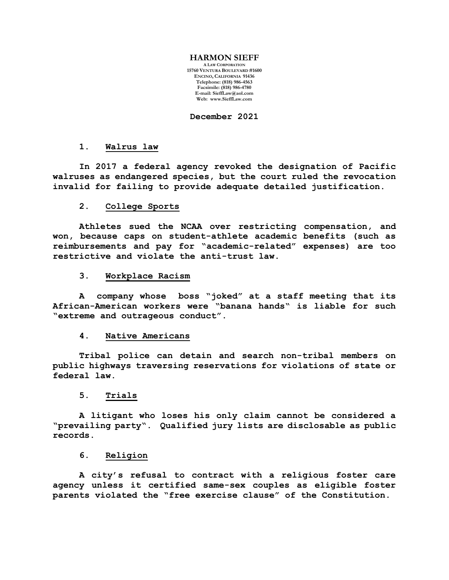### **HARMON SIEFF**

**A LAW CORPORATION 15760 VENTURA BOULEVARD #1600 ENCINO, CALIFORNIA 91436 Telephone: (818) 986-4563 Facsimile: (818) 986-4780 E-mail[: SieffLaw@aol.com](mailto:SieffLaw@aol.com) Web: [www.SieffLaw.com](http://www.siefflaw.com/)**

**December 2021**

### **1. Walrus law**

**In 2017 a federal agency revoked the designation of Pacific walruses as endangered species, but the court ruled the revocation invalid for failing to provide adequate detailed justification.**

# **2. College Sports**

**Athletes sued the NCAA over restricting compensation, and won, because caps on student-athlete academic benefits (such as reimbursements and pay for "academic-related" expenses) are too restrictive and violate the anti-trust law.**

### **3. Workplace Racism**

**A company whose boss "joked" at a staff meeting that its African-American workers were "banana hands" is liable for such "extreme and outrageous conduct".**

### **4. Native Americans**

**Tribal police can detain and search non-tribal members on public highways traversing reservations for violations of state or federal law.**

# **5. Trials**

**A litigant who loses his only claim cannot be considered a "prevailing party". Qualified jury lists are disclosable as public records.**

# **6. Religion**

**A city's refusal to contract with a religious foster care agency unless it certified same-sex couples as eligible foster parents violated the "free exercise clause" of the Constitution.**